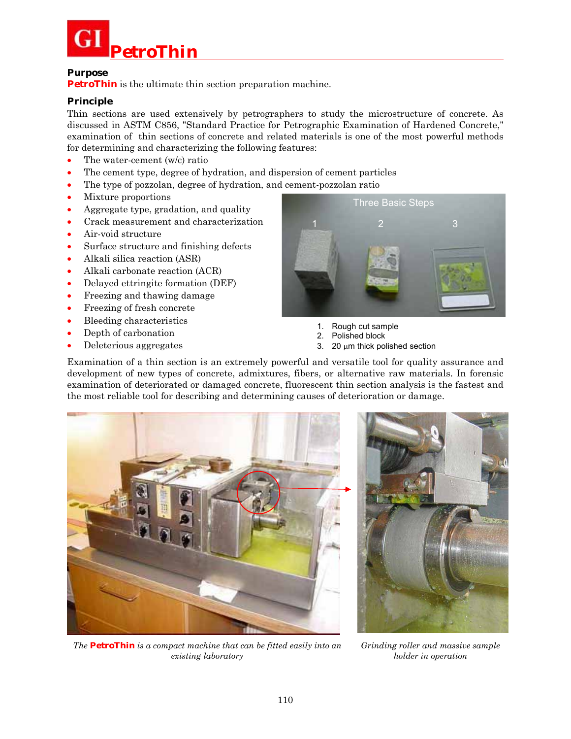

### **Purpose**

**PetroThin** is the ultimate thin section preparation machine.

## **Principle**

Thin sections are used extensively by petrographers to study the microstructure of concrete. As discussed in ASTM C856, "Standard Practice for Petrographic Examination of Hardened Concrete," examination of thin sections of concrete and related materials is one of the most powerful methods for determining and characterizing the following features:

- The water-cement (w/c) ratio
- The cement type, degree of hydration, and dispersion of cement particles
- The type of pozzolan, degree of hydration, and cement-pozzolan ratio
- Mixture proportions
- Aggregate type, gradation, and quality
- Crack measurement and characterization
- Air-void structure
- Surface structure and finishing defects
- Alkali silica reaction (ASR)
- Alkali carbonate reaction (ACR)
- Delayed ettringite formation (DEF)
- Freezing and thawing damage
- Freezing of fresh concrete
- Bleeding characteristics
- Depth of carbonation
- Deleterious aggregates



- 1. Rough cut sample
- 2. Polished block
- 3. 20  $\mu$ m thick polished section

Examination of a thin section is an extremely powerful and versatile tool for quality assurance and development of new types of concrete, admixtures, fibers, or alternative raw materials. In forensic examination of deteriorated or damaged concrete, fluorescent thin section analysis is the fastest and the most reliable tool for describing and determining causes of deterioration or damage.



*The* **PetroThin** *is a compact machine that can be fitted easily into an existing laboratory* 



*Grinding roller and massive sample holder in operation*